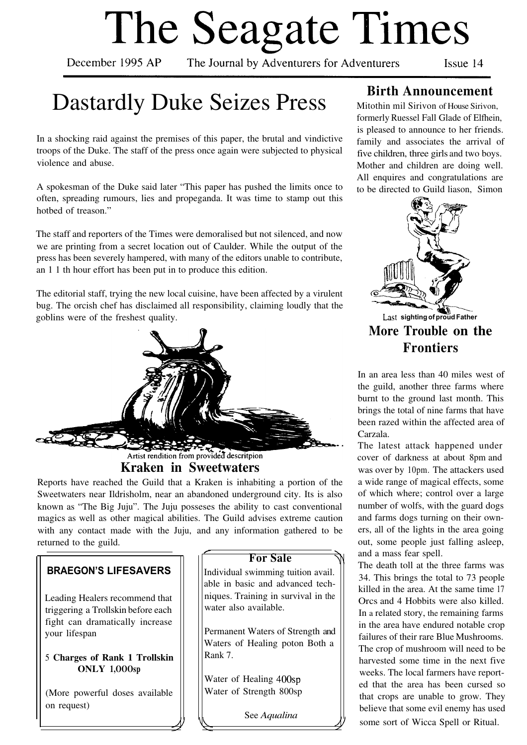# The Seagate Times

December 1995 AP

The Journal by Adventurers for Adventurers

Issue 14

# Dastardly Duke Seizes Press

In a shocking raid against the premises of this paper, the brutal and vindictive troops of the Duke. The staff of the press once again were subjected to physical violence and abuse.

A spokesman of the Duke said later "This paper has pushed the limits once to often, spreading rumours, lies and propeganda. It was time to stamp out this hotbed of treason."

The staff and reporters of the Times were demoralised but not silenced, and now we are printing from a secret location out of Caulder. While the output of the press has been severely hampered, with many of the editors unable to contribute, an 1 1 th hour effort has been put in to produce this edition.

The editorial staff, trying the new local cuisine, have been affected by a virulent bug. The orcish chef has disclaimed all responsibility, claiming loudly that the goblins were of the freshest quality.



Artist rendition from provided descritpion

## **Kraken in Sweetwaters**

Reports have reached the Guild that a Kraken is inhabiting a portion of the Sweetwaters near Ildrisholm, near an abandoned underground city. Its is also known as "The Big Juju". The Juju posseses the ability to cast conventional magics as well as other magical abilities. The Guild advises extreme caution with any contact made with the Juju, and any information gathered to be returned to the guild.

## **BRAEGON'S LIFESAVERS**

Leading Healers recommend that triggering a Trollskin before each fight can dramatically increase your lifespan

#### 5 **Charges of Rank 1 Trollskin ONLY 1,OOOsp**

(More powerful doses available on request)

## **For Sale**

Individual swimming tuition avail. able in basic and advanced techniques. Training in survival in the water also available.

Permanent Waters of Strength and Waters of Healing poton Both a Rank 7.

Water of Healing 400sp Water of Strength 800sp

See *Aqualina*

## **Birth Announcement**

Mitothin mil Sirivon of House Sirivon, formerly Ruessel Fall Glade of Elfhein, is pleased to announce to her friends. family and associates the arrival of five children, three girls and two boys. Mother and children are doing well. All enquires and congratulations are to be directed to Guild liason, Simon



**More Trouble on the Frontiers**

In an area less than 40 miles west of the guild, another three farms where burnt to the ground last month. This brings the total of nine farms that have been razed within the affected area of Carzala.

The latest attack happened under cover of darkness at about 8pm and was over by 10pm. The attackers used a wide range of magical effects, some of which where; control over a large number of wolfs, with the guard dogs and farms dogs turning on their owners, all of the lights in the area going out, some people just falling asleep, and a mass fear spell.

The death toll at the three farms was 34. This brings the total to 73 people killed in the area. At the same time 17 Orcs and 4 Hobbits were also killed. In a related story, the remaining farms in the area have endured notable crop failures of their rare Blue Mushrooms. The crop of mushroom will need to be harvested some time in the next five weeks. The local farmers have reported that the area has been cursed so that crops are unable to grow. They believe that some evil enemy has used some sort of Wicca Spell or Ritual.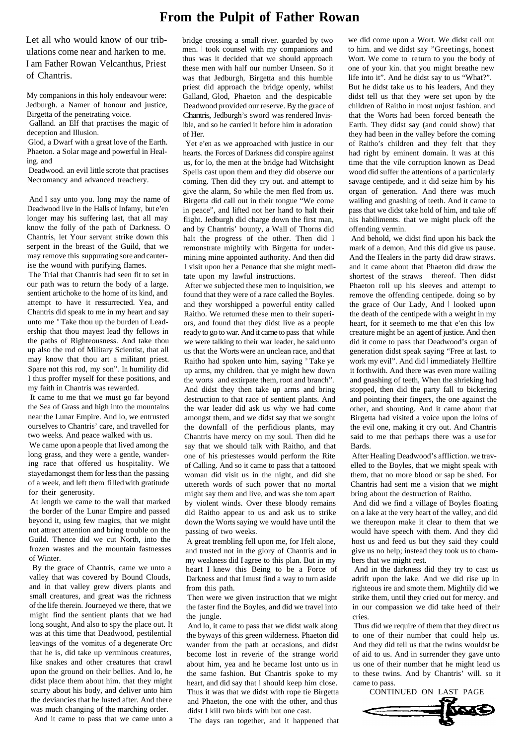## **From the Pulpit of Father Rowan**

Let all who would know of our tribulations come near and harken to me. I am Father Rowan Velcanthus, Priest of Chantris.

My companions in this holy endeavour were: Jedburgh. a Namer of honour and justice, Birgetta of the penetrating voice.

Galland. an Elf that practises the magic of deception and Illusion.

Glod, a Dwarf with a great love of the Earth. Phaeton. a Solar mage and powerful in Healing. and

Deadwood. an evil little scrote that practises Necromancy and advanced treachery.

And I say unto you. long may the name of Deadwood live in the Halls of Infamy, but e'en longer may his suffering last, that all may know the folly of the path of Darkness. O Chantris, let Your servant strike down this serpent in the breast of the Guild, that we may remove this suppurating sore and cauterise the wound with purifying flames.

The Trial that Chantris had seen fit to set in our path was to return the body of a large. sentient artichoke to the home of its kind, and attempt to have it ressurrected. Yea, and Chantris did speak to me in my heart and say unto me " Take thou up the burden of Leadership that thou mayest lead thy fellows in the paths of Righteousness. And take thou up also the rod of Military Scientist, that all may know that thou art a militant priest. Spare not this rod, my son". In humility did I thus proffer myself for these positions, and my faith in Chantris was rewarded.

It came to me that we must go far beyond the Sea of Grass and high into the mountains near the Lunar Empire. And lo, we entrusted ourselves to Chantris' care, and travelled for two weeks. And peace walked with us.

We came upon a people that lived among the long grass, and they were a gentle, wandering race that offered us hospitality. We stayedamongst them for less than the passing of a week, and left them filled with gratitude for their generosity.

At length we came to the wall that marked the border of the Lunar Empire and passed beyond it, using few magics, that we might not attract attention and bring trouble on the Guild. Thence did we cut North, into the frozen wastes and the mountain fastnesses of Winter.

By the grace of Chantris, came we unto a valley that was covered by Bound Clouds, and in that valley grew divers plants and small creatures, and great was the richness of the life therein. Journeyed we there, that we might find the sentient plants that we had long sought, And also to spy the place out. It was at this time that Deadwood, pestilential leavings of the vomitus of a degenerate Orc that he is, did take up verminous creatures, like snakes and other creatures that crawl upon the ground on their bellies. And lo, he didst place them about him. that they might scurry about his body, and deliver unto him the deviancies that he lusted after. And there was much changing of the marching order.

And it came to pass that we came unto a The days ran together, and it happened that

bridge crossing a small river. guarded by two men. I took counsel with my companions and thus was it decided that we should approach these men with half our number Unseen. So it was that Jedburgh, Birgetta and this humble priest did approach the bridge openly, whilst Galland, Glod, Phaeton and the despicable Deadwood provided our reserve. By the grace of Chantris, Jedburgh's sword was rendered Invisible, and so he carried it before him in adoration of Her.

Yet e'en as we approached with justice in our hearts. the Forces of Darkness did conspire against us, for lo, the men at the bridge had Witchsight Spells cast upon them and they did observe our coming. Then did they cry out. and attempt to give the alarm, So while the men fled from us. Birgetta did call out in their tongue "We come in peace", and lifted not her hand to halt their flight. Jedburgh did charge down the first man, and by Chantris' bounty, a Wall of Thorns did halt the progress of the other. Then did I remonstrate mightily with Birgetta for undermining mine appointed authority. And then did I visit upon her a Penance that she might meditate upon my lawful instructions.

After we subjected these men to inquisition, we found that they were of a race called the Boyles. and they worshipped a powerful entity called Raitho. We returned these men to their superiors, and found that they didst live as a people ready to go to war. And it came to pass that while we were talking to their war leader, he said unto us that the Worts were an unclean race, and that Raitho had spoken unto him, saying " Take ye up arms, my children. that ye might hew down the worts and extirpate them, root and branch". And didst they then take up arms and bring destruction to that race of sentient plants. And the war leader did ask us why we had come amongst them, and we didst say that we sought the downfall of the perfidious plants, may Chantris have mercy on my soul. Then did he say that we should talk with Raitho, and that one of his priestesses would perform the Rite of Calling. And so it came to pass that a tattooed woman did visit us in the night, and did she uttereth words of such power that no mortal might say them and live, and was she tom apart by violent winds. Over these bloody remains did Raitho appear to us and ask us to strike down the Worts saying we would have until the passing of two weeks.

A great trembling fell upon me, for I felt alone, and trusted not in the glory of Chantris and in my weakness did I agree to this plan. But in my heart I knew this Being to be a Force of Darkness and that I must find a way to turn aside from this path.

Then were we given instruction that we might the faster find the Boyles, and did we travel into the jungle.

And lo, it came to pass that we didst walk along the byways of this green wilderness. Phaeton did wander from the path at occasions, and didst become lost in reverie of the strange world about him, yea and he became lost unto us in the same fashion. But Chantris spoke to my heart, and did say that 1 should keep him close. Thus it was that we didst with rope tie Birgetta and Phaeton, the one with the other, and thus didst I kill two birds with but one cast.

we did come upon a Wort. We didst call out to him. and we didst say "Greetings, honest Wort. We come to return to you the body of one of your kin. that you might breathe new life into it". And he didst say to us "What?". But he didst take us to his leaders, And they didst tell us that they were set upon by the children of Raitho in most unjust fashion. and that the Worts had been forced beneath the Earth. They didst say (and could show) that they had been in the valley before the coming of Raitho's children and they felt that they had right by eminent domain. It was at this time that the vile corruption known as Dead wood did suffer the attentions of a particularly savage centipede, and it did seize him by his organ of generation. And there was much wailing and gnashing of teeth. And it came to pass that we didst take hold of him, and take off his habiliments. that we might pluck off the offending vermin.

And behold, we didst find upon his back the mark of a demon, And this did give us pause. And the Healers in the party did draw straws. and it came about that Phaeton did draw the shortest of the straws thereof. Then didst Phaeton roll up his sleeves and attempt to remove the offending centipede. doing so by the grace of Our Lady, And I looked upon the death of the centipede with a weight in my heart, for it seemeth to me that e'en this low creature might be an agent of justice. And then did it come to pass that Deadwood's organ of generation didst speak saying "Free at last. to work my evil". And did | immediately Hellfire it forthwith. And there was even more wailing and gnashing of teeth, When the shrieking had stopped, then did the party fall to bickering and pointing their fingers, the one against the other, and shouting. And it came about that Birgetta had visited a voice upon the loins of the evil one, making it cry out. And Chantris said to me that perhaps there was a use for Bards.

After Healing Deadwood's affliction. we travelled to the Boyles, that we might speak with them, that no more blood or sap be shed. For Chantris had sent me a vision that we might bring about the destruction of Raitho.

And did we find a village of Boyles floating on a lake at the very heart of the valley, and did we thereupon make it clear to them that we would have speech with them. And they did host us and feed us but they said they could give us no help; instead they took us to chambers that we might rest.

And in the darkness did they try to cast us adrift upon the lake. And we did rise up in righteous ire and smote them. Mightily did we strike them, until they cried out for mercy. and in our compassion we did take heed of their cries.

Thus did we require of them that they direct us to one of their number that could help us. And they did tell us that the twins wouldst be of aid to us. And in surrender they gave unto us one of their number that he might lead us to these twins. And by Chantris' will. so it came to pass.

CONTINUED ON LAST PAGE

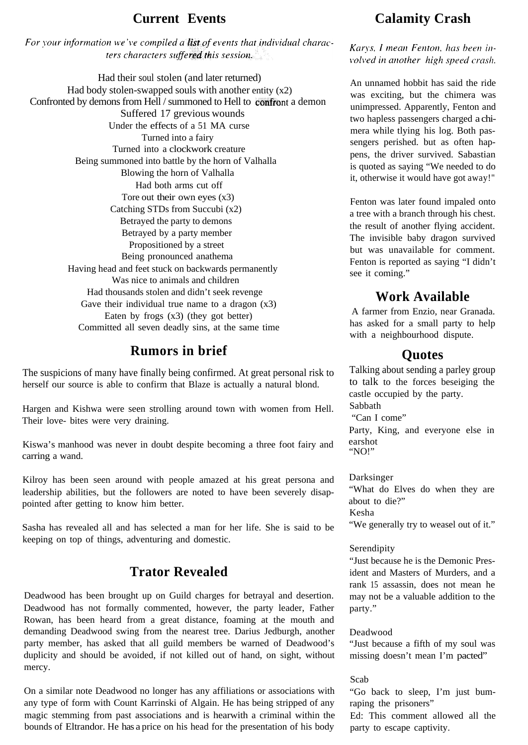For your information we've compiled a list of events that individual characters characters suffered this session.

Had their soul stolen (and later returned) Had body stolen-swapped souls with another entity  $(x2)$ Confronted by demons from Hell / summoned to Hell to confront a demon Suffered 17 grevious wounds Under the effects of a 51 MA curse Turned into a fairy Turned into a clockwork creature Being summoned into battle by the horn of Valhalla Blowing the horn of Valhalla Had both arms cut off Tore out their own eyes (x3) Catching STDs from Succubi (x2) Betrayed the party to demons Betrayed by a party member Propositioned by a street Being pronounced anathema Having head and feet stuck on backwards permanently Was nice to animals and children Had thousands stolen and didn't seek revenge Gave their individual true name to a dragon  $(x3)$ Eaten by frogs (x3) (they got better) Committed all seven deadly sins, at the same time

## **Rumors in brief**

The suspicions of many have finally being confirmed. At great personal risk to herself our source is able to confirm that Blaze is actually a natural blond.

Hargen and Kishwa were seen strolling around town with women from Hell. Their love- bites were very draining.

Kiswa's manhood was never in doubt despite becoming a three foot fairy and carring a wand.

Kilroy has been seen around with people amazed at his great persona and leadership abilities, but the followers are noted to have been severely disappointed after getting to know him better.

Sasha has revealed all and has selected a man for her life. She is said to be keeping on top of things, adventuring and domestic.

## **Trator Revealed**

Deadwood has been brought up on Guild charges for betrayal and desertion. Deadwood has not formally commented, however, the party leader, Father Rowan, has been heard from a great distance, foaming at the mouth and demanding Deadwood swing from the nearest tree. Darius Jedburgh, another party member, has asked that all guild members be warned of Deadwood's duplicity and should be avoided, if not killed out of hand, on sight, without mercy.

On a similar note Deadwood no longer has any affiliations or associations with any type of form with Count Karrinski of Algain. He has being stripped of any magic stemming from past associations and is hearwith a criminal within the bounds of Eltrandor. He has a price on his head for the presentation of his body

## **Current Events Calamity Crash**

Karys, I mean Fenton, has been involved in another high speed crash.

An unnamed hobbit has said the ride was exciting, but the chimera was unimpressed. Apparently, Fenton and two hapless passengers charged a chimera while tlying his log. Both passengers perished. but as often happens, the driver survived. Sabastian is quoted as saying "We needed to do it, otherwise it would have got away!"

Fenton was later found impaled onto a tree with a branch through his chest. the result of another flying accident. The invisible baby dragon survived but was unavailable for comment. Fenton is reported as saying "I didn't see it coming."

## **Work Available**

A farmer from Enzio, near Granada. has asked for a small party to help with a neighbourhood dispute.

## **Quotes**

Talking about sending a parley group to talk to the forces beseiging the castle occupied by the party. Sabbath "Can I come" Party, King, and everyone else in

earshot "NO!"

#### Darksinger

"What do Elves do when they are about to die?" Kesha "We generally try to weasel out of it."

#### Serendipity

"Just because he is the Demonic President and Masters of Murders, and a rank 15 assassin, does not mean he may not be a valuable addition to the party."

#### Deadwood

"Just because a fifth of my soul was missing doesn't mean I'm pacted"

#### Scab

"Go back to sleep, I'm just bumraping the prisoners"

Ed: This comment allowed all the party to escape captivity.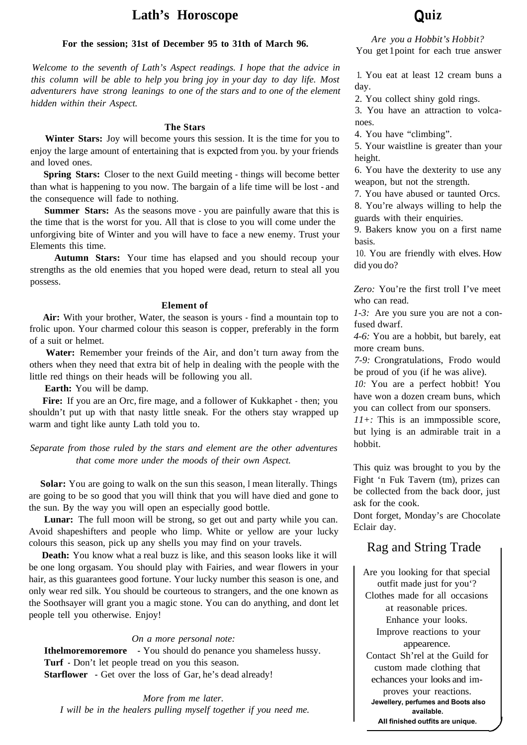## **Lath's Horoscope Quiz**

#### **For the session; 31st of December 95 to 31th of March 96.**

*Welcome to the seventh of Lath's Aspect readings. I hope that the advice in this column will be able to help you bring joy in your day to day life. Most adventurers have strong leanings to one of the stars and to one of the element hidden within their Aspect.*

#### **The Stars**

Winter Stars: Joy will become yours this session. It is the time for you to enjoy the large amount of entertaining that is expcted from you. by your friends and loved ones.

**Spring Stars:** Closer to the next Guild meeting - things will become better than what is happening to you now. The bargain of a life time will be lost - and the consequence will fade to nothing.

**Summer Stars:** As the seasons move - you are painfully aware that this is the time that is the worst for you. All that is close to you will come under the unforgiving bite of Winter and you will have to face a new enemy. Trust your Elements this time.

**Autumn Stars:** Your time has elapsed and you should recoup your strengths as the old enemies that you hoped were dead, return to steal all you possess.

#### **Element of**

**Air:** With your brother, Water, the season is yours - find a mountain top to frolic upon. Your charmed colour this season is copper, preferably in the form of a suit or helmet.

**Water:** Remember your freinds of the Air, and don't turn away from the others when they need that extra bit of help in dealing with the people with the little red things on their heads will be following you all.

**Earth:** You will be damp.

Fire: If you are an Orc, fire mage, and a follower of Kukkaphet - then; you shouldn't put up with that nasty little sneak. For the others stay wrapped up warm and tight like aunty Lath told you to.

*Separate from those ruled by the stars and element are the other adventures that come more under the moods of their own Aspect.*

**Solar:** You are going to walk on the sun this season, I mean literally. Things are going to be so good that you will think that you will have died and gone to the sun. By the way you will open an especially good bottle.

Lunar: The full moon will be strong, so get out and party while you can. Avoid shapeshifters and people who limp. White or yellow are your lucky colours this season, pick up any shells you may find on your travels.

**Death:** You know what a real buzz is like, and this season looks like it will be one long orgasam. You should play with Fairies, and wear flowers in your hair, as this guarantees good fortune. Your lucky number this season is one, and only wear red silk. You should be courteous to strangers, and the one known as the Soothsayer will grant you a magic stone. You can do anything, and dont let people tell you otherwise. Enjoy!

#### *On a more personal note:*

**Ithelmoremoremore -** You should do penance you shameless hussy. **Turf -** Don't let people tread on you this season. **Starflower -** Get over the loss of Gar, he's dead already!

*More from me later. I will be in the healers pulling myself together if you need me.*

*Are you a Hobbit's Hobbit?* You get 1 point for each true answer

1. You eat at least 12 cream buns a day.

2. You collect shiny gold rings.

3. You have an attraction to volcanoes.

4. You have "climbing".

5. Your waistline is greater than your height.

6. You have the dexterity to use any weapon, but not the strength.

7. You have abused or taunted Orcs.

8. You're always willing to help the guards with their enquiries.

9. Bakers know you on a first name basis.

10. You are friendly with elves. How did you do?

*Zero:* You're the first troll I've meet who can read.

*1-3:* Are you sure you are not a confused dwarf.

*4-6:* You are a hobbit, but barely, eat more cream buns.

*7-9:* Crongratulations, Frodo would be proud of you (if he was alive).

*10:* You are a perfect hobbit! You have won a dozen cream buns, which you can collect from our sponsers.

*11+:* This is an immpossible score, but lying is an admirable trait in a hobbit.

This quiz was brought to you by the Fight 'n Fuk Tavern (tm), prizes can be collected from the back door, just ask for the cook.

Dont forget, Monday's are Chocolate Eclair day.

## Rag and String Trade

Are you looking for that special outfit made just for you'? Clothes made for all occasions at reasonable prices. Enhance your looks. Improve reactions to your appearence. Contact Sh'rel at the Guild for custom made clothing that echances your looks and improves your reactions. **Jewellery, perfumes and Boots also available. All finished outfits are unique.**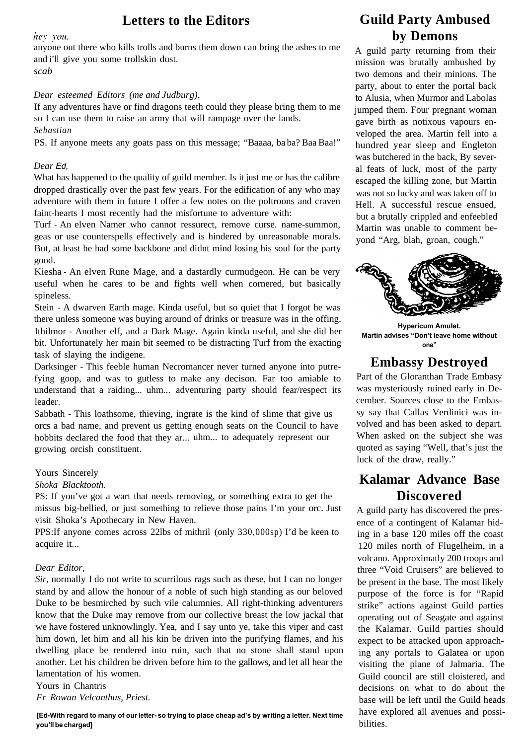## **Letters to the Editors**

hey you,

anyone out there who kills trolls and burns them down can bring the ashes to me and i'll give you some trollskin dust.

*scab*

#### *Dear esteemed Editors (me and Judburg),*

If any adventures have or find dragons teeth could they please bring them to me so I can use them to raise an army that will rampage over the lands. *Sebastian*

PS. If anyone meets any goats pass on this message; "Baaaa, ba ba? Baa Baa!"

#### *Dear Ed,*

What has happened to the quality of guild member. Is it just me or has the calibre dropped drastically over the past few years. For the edification of any who may adventure with them in future I offer a few notes on the poltroons and craven faint-hearts I most recently had the misfortune to adventure with:

Turf - An elven Namer who cannot ressurect, remove curse. name-summon, geas or use counterspells effectively and is hindered by unreasonable morals. But, at least he had some backbone and didnt mind losing his soul for the party good.

Kiesha - An elven Rune Mage, and a dastardly curmudgeon. He can be very useful when he cares to be and fights well when cornered, but basically spineless.

Stein - A dwarven Earth mage. Kinda useful, but so quiet that I forgot he was there unless someone was buying around of drinks or treasure was in the offing. Ithilmor - Another elf, and a Dark Mage. Again kinda useful, and she did her bit. Unfortunately her main bit seemed to be distracting Turf from the exacting task of slaying the indigene.

Darksinger - This feeble human Necromancer never turned anyone into putrefying goop, and was to gutless to make any decison. Far too amiable to understand that a raiding... uhm... adventuring party should fear/respect its leader.

Sabbath - This loathsome, thieving, ingrate is the kind of slime that give us orcs a bad name, and prevent us getting enough seats on the Council to have hobbits declared the food that they ar... uhm... to adequately represent our growing orcish constituent.

#### Yours Sincerely

#### *Shoka Blacktooth.*

PS: If you've got a wart that needs removing, or something extra to get the missus big-bellied, or just something to relieve those pains I'm your orc. Just visit Shoka's Apothecary in New Haven.

PPS:If anyone comes across 22lbs of mithril (only 330,000sp) I'd be keen to acquire it...

#### *Dear Editor,*

*Sir,* normally I do not write to scurrilous rags such as these, but I can no longer stand by and allow the honour of a noble of such high standing as our beloved Duke to be besmirched by such vile calumnies. All right-thinking adventurers know that the Duke may remove from our collective breast the low jackal that we have fostered unknowlingly. Yea, and I say unto ye, take this viper and cast him down, let him and all his kin be driven into the purifying flames, and his dwelling place be rendered into ruin, such that no stone shall stand upon another. Let his children be driven before him to the gallows, and let all hear the lamentation of his women.

Yours in Chantris *Fr Rowan Velcanthus, Priest.*

#### **[Ed-With regard to many of our letter- so trying to place cheap ad's by writing a letter. Next time you'll be charged]**

## **Guild Party Ambused by Demons**

A guild party returning from their mission was brutally ambushed by two demons and their minions. The party, about to enter the portal back to Alusia, when Murmor and Labolas jumped them. Four pregnant woman gave birth as notixous vapours enveloped the area. Martin fell into a hundred year sleep and Engleton was butchered in the back, By several feats of luck, most of the party escaped the killing zone, but Martin was not so lucky and was taken off to Hell. A successful rescue ensued, but a brutally crippled and enfeebled Martin was unable to comment beyond "Arg, blah, groan, cough."



**Hypericum Amulet. Martin advises "Don't leave home without one"**

## **Embassy Destroyed**

Part of the Gloranthan Trade Embasy was mysteriously ruined early in December. Sources close to the Embassy say that Callas Verdinici was involved and has been asked to depart. When asked on the subject she was quoted as saying "Well, that's just the luck of the draw, really."

## **Kalamar Advance Base Discovered**

A guild party has discovered the presence of a contingent of Kalamar hiding in a base 120 miles off the coast 120 miles north of Flugelheim, in a volcano. Approximatly 200 troops and three "Void Cruisers" are believed to be present in the base. The most likely purpose of the force is for "Rapid strike" actions against Guild parties operating out of Seagate and against the Kalamar. Guild parties should expect to be attacked upon approaching any portals to Galatea or upon visiting the plane of Jalmaria. The Guild council are still cloistered, and decisions on what to do about the base will be left until the Guild heads have explored all avenues and possibilities.